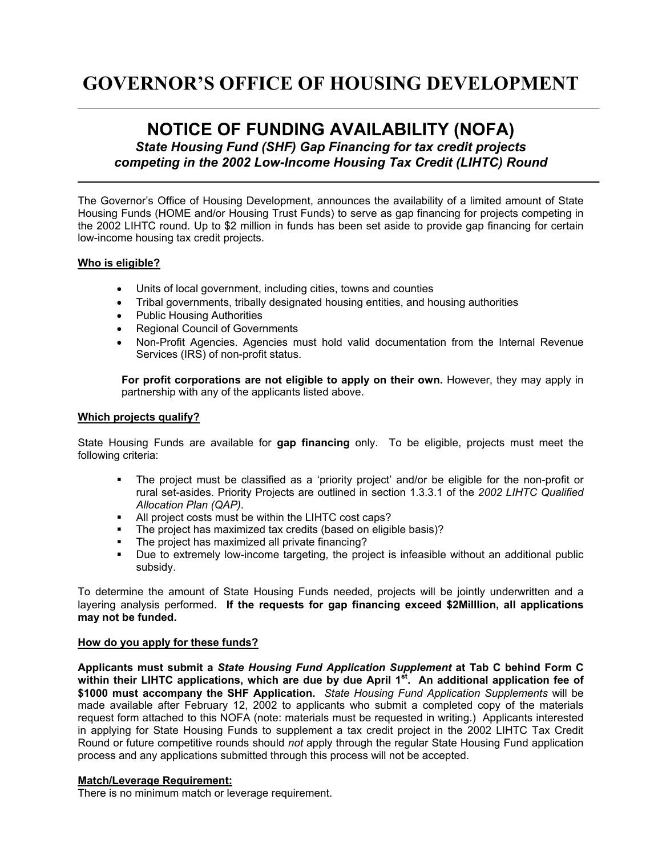# **GOVERNOR'S OFFICE OF HOUSING DEVELOPMENT**

# **NOTICE OF FUNDING AVAILABILITY (NOFA)**

*State Housing Fund (SHF) Gap Financing for tax credit projects competing in the 2002 Low-Income Housing Tax Credit (LIHTC) Round*

The Governor's Office of Housing Development, announces the availability of a limited amount of State Housing Funds (HOME and/or Housing Trust Funds) to serve as gap financing for projects competing in the 2002 LIHTC round. Up to \$2 million in funds has been set aside to provide gap financing for certain low-income housing tax credit projects.

# **Who is eligible?**

- Units of local government, including cities, towns and counties
- Tribal governments, tribally designated housing entities, and housing authorities
- Public Housing Authorities
- Regional Council of Governments
- Non-Profit Agencies. Agencies must hold valid documentation from the Internal Revenue Services (IRS) of non-profit status.

**For profit corporations are not eligible to apply on their own.** However, they may apply in partnership with any of the applicants listed above.

# **Which projects qualify?**

State Housing Funds are available for **gap financing** only. To be eligible, projects must meet the following criteria:

- The project must be classified as a 'priority project' and/or be eligible for the non-profit or rural set-asides. Priority Projects are outlined in section 1.3.3.1 of the *2002 LIHTC Qualified Allocation Plan (QAP).*
- All project costs must be within the LIHTC cost caps?
- The project has maximized tax credits (based on eligible basis)?
- The project has maximized all private financing?
- Due to extremely low-income targeting, the project is infeasible without an additional public subsidy.

To determine the amount of State Housing Funds needed, projects will be jointly underwritten and a layering analysis performed. **If the requests for gap financing exceed \$2Milllion, all applications may not be funded.** 

# **How do you apply for these funds?**

**Applicants must submit a** *State Housing Fund Application Supplement* **at Tab C behind Form C**  within their LIHTC applications, which are due by due April 1<sup>st</sup>. An additional application fee of **\$1000 must accompany the SHF Application.** *State Housing Fund Application Supplements* will be made available after February 12, 2002 to applicants who submit a completed copy of the materials request form attached to this NOFA (note: materials must be requested in writing.) Applicants interested in applying for State Housing Funds to supplement a tax credit project in the 2002 LIHTC Tax Credit Round or future competitive rounds should *not* apply through the regular State Housing Fund application process and any applications submitted through this process will not be accepted.

# **Match/Leverage Requirement:**

There is no minimum match or leverage requirement.